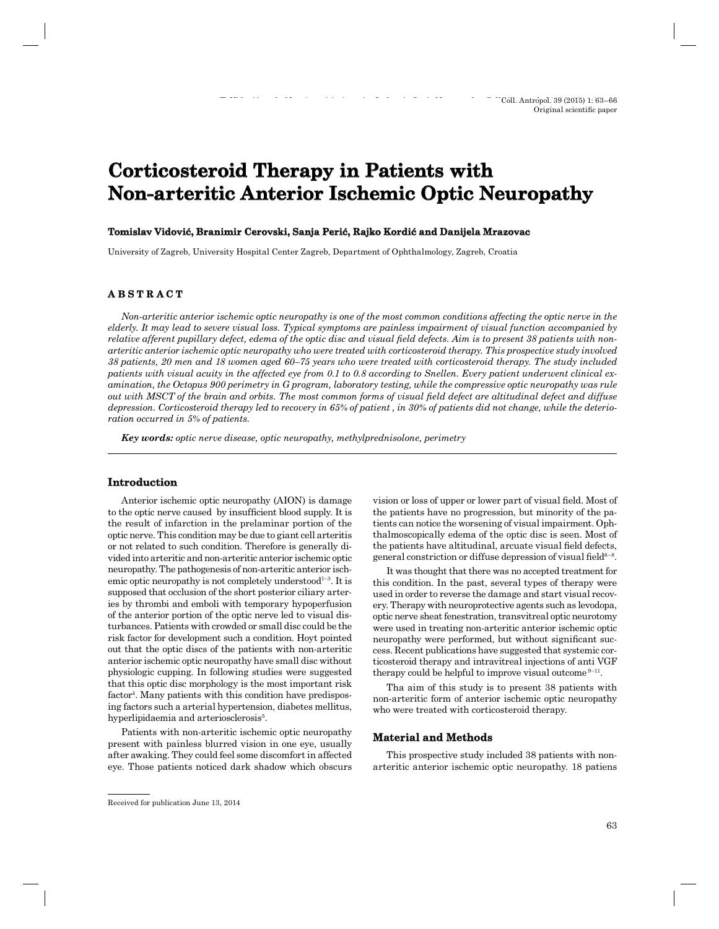# **Corticosteroid Therapy in Patients with Non-arteritic Anterior Ischemic Optic Neuropathy on-arteritic**

#### **Tomislav Vidović, Branimir Cerovski, Sanja Perić, Rajko Kordić and Danijela Mrazovac omislav Vidović,**

University of Zagreb, University Hospital Center Zagreb, Department of Ophthalmology, Zagreb, Croatia

## **A B S T R A C T B S T R A C**

*Non-arteritic anterior ischemic optic neuropathy is one of the most common conditions affecting the optic nerve in the elderly. It may lead to severe visual loss. Typical symptoms are painless impairment of visual function accompanied by*  relative afferent pupillary defect, edema of the optic disc and visual field defects. Aim is to present 38 patients with non*arteritic anterior ischemic optic neuropathy who were treated with corticosteroid therapy. This prospective study involved 38 patients, 20 men and 18 women aged 60–75 years who were treated with corticosteroid therapy. The study included patients with visual acuity in the affected eye from 0.1 to 0.8 according to Snellen. Every patient underwent clinical examination, the Octopus 900 perimetry in G program, laboratory testing, while the compressive optic neuropathy was rule out with MSCT of the brain and orbits. The most common forms of visual fi eld defect are altitudinal defect and diffuse depression. Corticosteroid therapy led to recovery in 65% of patient , in 30% of patients did not change, while the deterioration occurred in 5% of patients.*

*Key words: optic nerve disease, optic neuropathy, methylprednisolone, perimetry*

### **Introduction**

Anterior ischemic optic neuropathy (AION) is damage to the optic nerve caused by insufficient blood supply. It is the result of infarction in the prelaminar portion of the optic nerve. This condition may be due to giant cell arteritis or not related to such condition. Therefore is generally divided into arteritic and non-arteritic anterior ischemic optic neuropathy. The pathogenesis of non-arteritic anterior ischemic optic neuropathy is not completely understood<sup>1-3</sup>. It is supposed that occlusion of the short posterior ciliary arteries by thrombi and emboli with temporary hypoperfusion of the anterior portion of the optic nerve led to visual disturbances. Patients with crowded or small disc could be the risk factor for development such a condition. Hoyt pointed out that the optic discs of the patients with non-arteritic anterior ischemic optic neuropathy have small disc without physiologic cupping. In following studies were suggested that this optic disc morphology is the most important risk factor<sup>4</sup>. Many patients with this condition have predisposing factors such a arterial hypertension, diabetes mellitus, hyperlipidaemia and arteriosclerosis<sup>5</sup>.

Patients with non-arteritic ischemic optic neuropathy present with painless blurred vision in one eye, usually after awaking. They could feel some discomfort in affected eye. Those patients noticed dark shadow which obscurs

vision or loss of upper or lower part of visual field. Most of the patients have no progression, but minority of the patients can notice the worsening of visual impairment. Ophthalmoscopically edema of the optic disc is seen. Most of the patients have altitudinal, arcuate visual field defects, general constriction or diffuse depression of visual field $6-8$ .

It was thought that there was no accepted treatment for this condition. In the past, several types of therapy were used in order to reverse the damage and start visual recovery. Therapy with neuroprotective agents such as levodopa, optic nerve sheat fenestration, transvitreal optic neurotomy were used in treating non-arteritic anterior ischemic optic neuropathy were performed, but without significant success. Recent publications have suggested that systemic corticosteroid therapy and intravitreal injections of anti VGF therapy could be helpful to improve visual outcome  $9-11$ .

Tha aim of this study is to present 38 patients with non-arteritic form of anterior ischemic optic neuropathy who were treated with corticosteroid therapy.

#### **Material and Methods aterial**

This prospective study included 38 patients with nonarteritic anterior ischemic optic neuropathy. 18 patiens

Received for publication June 13, 2014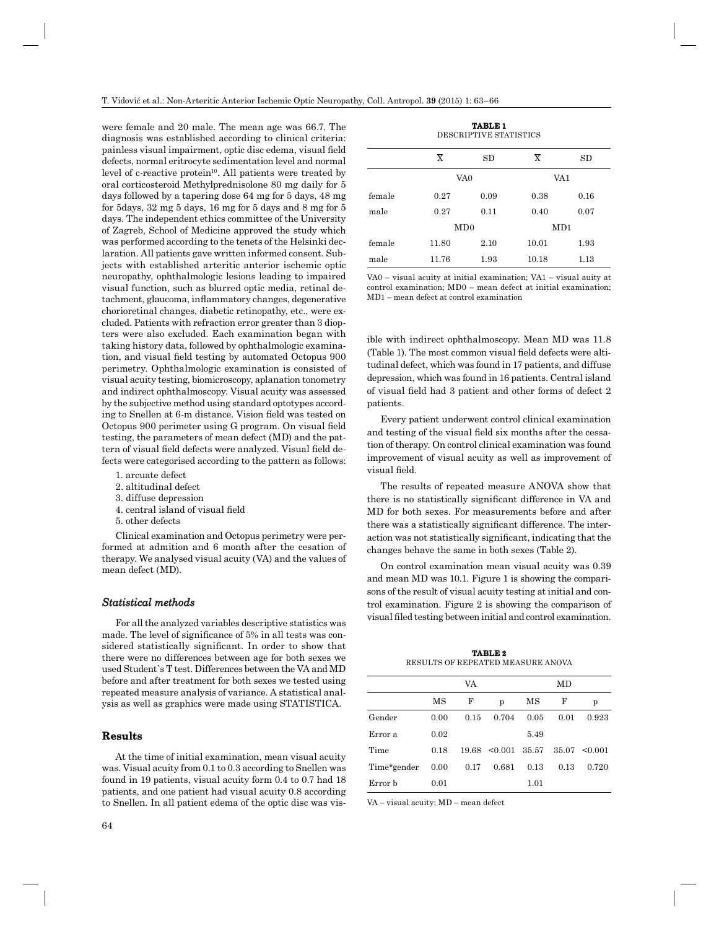were female and 20 male. The mean age was 66.7. The diagnosis was established according to clinical criteria: painless visual impairment, optic disc edema, visual field defects, normal eritrocyte sedimentation level and normal level of c-reactive protein $10$ . All patients were treated by oral corticosteroid Methylprednisolone 80 mg daily for 5 days followed by a tapering dose 64 mg for 5 days, 48 mg for 5days, 32 mg 5 days, 16 mg for 5 days and 8 mg for 5 days. The independent ethics committee of the University of Zagreb, School of Medicine approved the study which was performed according to the tenets of the Helsinki declaration. All patients gave written informed consent. Subjects with established arteritic anterior ischemic optic neuropathy, ophthalmologic lesions leading to impaired visual function, such as blurred optic media, retinal detachment, glaucoma, inflammatory changes, degenerative chorioretinal changes, diabetic retinopathy, etc., were excluded. Patients with refraction error greater than 3 diopters were also excluded. Each examination began with taking history data, followed by ophthalmologic examination, and visual field testing by automated Octopus 900 perimetry. Ophthalmologic examination is consisted of visual acuity testing, biomicroscopy, aplanation tonometry and indirect ophthalmoscopy. Visual acuity was assessed by the subjective method using standard optotypes according to Snellen at 6-m distance. Vision field was tested on Octopus 900 perimeter using G program. On visual field testing, the parameters of mean defect (MD) and the pattern of visual field defects were analyzed. Visual field defects were categorised according to the pattern as follows:

- 1. arcuate defect
- 2. altitudinal defect
- 3. diffuse depression
- 4. central island of visual field
- 5. other defects

Clinical examination and Octopus perimetry were performed at admition and 6 month after the cesation of therapy. We analysed visual acuity (VA) and the values of mean defect (MD).

#### *Statistical methods tatistical*

For all the analyzed variables descriptive statistics was made. The level of significance of  $5\%$  in all tests was considered statistically significant. In order to show that there were no differences between age for both sexes we used Student`s T test. Differences between the VA and MD before and after treatment for both sexes we tested using repeated measure analysis of variance. A statistical analysis as well as graphics were made using STATISTICA.

### **Results**

At the time of initial examination, mean visual acuity was. Visual acuity from 0.1 to 0.3 according to Snellen was found in 19 patients, visual acuity form 0.4 to 0.7 had 18 patients, and one patient had visual acuity 0.8 according to Snellen. In all patient edema of the optic disc was vis-

**TABLE 1** DESCRIPTIVE STATISTICS

|        | $\overline{\mathrm{X}}$ | SD   | $\overline{\mathrm{x}}$ | SD   |  |  |  |  |
|--------|-------------------------|------|-------------------------|------|--|--|--|--|
|        | VA0                     |      | VA1                     |      |  |  |  |  |
| female | 0.27                    | 0.09 | 0.38                    | 0.16 |  |  |  |  |
| male   | 0.27                    | 0.11 | 0.40                    | 0.07 |  |  |  |  |
|        |                         | MD0  |                         | MD1  |  |  |  |  |
| female | 11.80                   | 2.10 | 10.01                   | 1.93 |  |  |  |  |
| male   | 11.76                   | 1.93 | 10.18                   | 1.13 |  |  |  |  |

VA0 – visual acuity at initial examination; VA1 – visual auity at control examination; MD0 – mean defect at initial examination; MD1 – mean defect at control examination

ible with indirect ophthalmoscopy. Mean MD was 11.8 (Table 1). The most common visual field defects were altitudinal defect, which was found in 17 patients, and diffuse depression, which was found in 16 patients. Central island of visual field had 3 patient and other forms of defect 2 patients.

Every patient underwent control clinical examination and testing of the visual field six months after the cessation of therapy. On control clinical examination was found improvement of visual acuity as well as improvement of visual field.

The results of repeated measure ANOVA show that there is no statistically significant difference in VA and MD for both sexes. For measurements before and after there was a statistically significant difference. The interaction was not statistically significant, indicating that the changes behave the same in both sexes (Table 2).

On control examination mean visual acuity was 0.39 and mean MD was 10.1. Figure 1 is showing the comparisons of the result of visual acuity testing at initial and control examination. Figure 2 is showing the comparison of visual filed testing between initial and control examination.

**TABLE 2** RESULTS OF REPEATED MEASURE ANOVA

|             |      | VA   |                       |      | MD   |                   |
|-------------|------|------|-----------------------|------|------|-------------------|
|             | MS   | F    | p                     | МS   | F    | p                 |
| Gender      | 0.00 | 0.15 | 0.704                 | 0.05 | 0.01 | 0.923             |
| Error a     | 0.02 |      |                       | 5.49 |      |                   |
| Time        | 0.18 |      | $19.68$ < 0.001 35.57 |      |      | $35.07 \le 0.001$ |
| Time*gender | 0.00 | 0.17 | 0.681                 | 0.13 | 0.13 | 0.720             |
| Error b     | 0.01 |      |                       | 1.01 |      |                   |

VA – visual acuity; MD – mean defect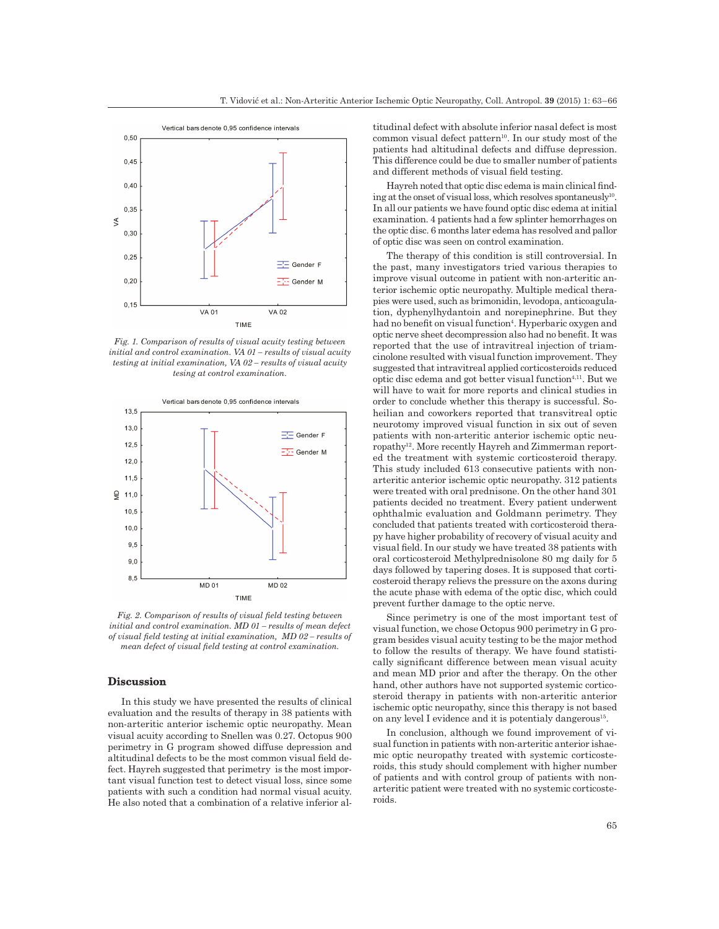

*Fig. 1. Comparison of results of visual acuity testing between initial and control examination. VA 01 – results of visual acuity testing at initial examination, VA 02 – results of visual acuity tesing at control examination.*



*Fig. 2. Comparison of results of visual field testing between initial and control examination. MD 01 – results of mean defect of visual field testing at initial examination, MD 02 – results of mean defect of visual field testing at control examination.* 

## **Discussion**

In this study we have presented the results of clinical evaluation and the results of therapy in 38 patients with non-arteritic anterior ischemic optic neuropathy. Mean visual acuity according to Snellen was 0.27. Octopus 900 perimetry in G program showed diffuse depression and altitudinal defects to be the most common visual field defect. Hayreh suggested that perimetry is the most important visual function test to detect visual loss, since some patients with such a condition had normal visual acuity. He also noted that a combination of a relative inferior al-

titudinal defect with absolute inferior nasal defect is most common visual defect pattern<sup>10</sup>. In our study most of the patients had altitudinal defects and diffuse depression. This difference could be due to smaller number of patients and different methods of visual field testing.

Hayreh noted that optic disc edema is main clinical finding at the onset of visual loss, which resolves spontaneusly<sup>10</sup>. In all our patients we have found optic disc edema at initial examination. 4 patients had a few splinter hemorrhages on the optic disc. 6 months later edema has resolved and pallor of optic disc was seen on control examination.

The therapy of this condition is still controversial. In the past, many investigators tried various therapies to improve visual outcome in patient with non-arteritic anterior ischemic optic neuropathy. Multiple medical therapies were used, such as brimonidin, levodopa, anticoagulation, dyphenylhydantoin and norepinephrine. But they had no benefit on visual function<sup>4</sup>. Hyperbaric oxygen and optic nerve sheet decompression also had no benefit. It was reported that the use of intravitreal injection of triamcinolone resulted with visual function improvement. They suggested that intravitreal applied corticosteroids reduced optic disc edema and got better visual function<sup>4,11</sup>. But we will have to wait for more reports and clinical studies in order to conclude whether this therapy is successful. Soheilian and coworkers reported that transvitreal optic neurotomy improved visual function in six out of seven patients with non-arteritic anterior ischemic optic neuropathy12. More recently Hayreh and Zimmerman reported the treatment with systemic corticosteroid therapy. This study included 613 consecutive patients with nonarteritic anterior ischemic optic neuropathy. 312 patients were treated with oral prednisone. On the other hand 301 patients decided no treatment. Every patient underwent ophthalmic evaluation and Goldmann perimetry. They concluded that patients treated with corticosteroid therapy have higher probability of recovery of visual acuity and visual field. In our study we have treated 38 patients with oral corticosteroid Methylprednisolone 80 mg daily for 5 days followed by tapering doses. It is supposed that corticosteroid therapy relievs the pressure on the axons during the acute phase with edema of the optic disc, which could prevent further damage to the optic nerve.

Since perimetry is one of the most important test of visual function, we chose Octopus 900 perimetry in G program besides visual acuity testing to be the major method to follow the results of therapy. We have found statistically significant difference between mean visual acuity and mean MD prior and after the therapy. On the other hand, other authors have not supported systemic corticosteroid therapy in patients with non-arteritic anterior ischemic optic neuropathy, since this therapy is not based on any level I evidence and it is potentialy dangerous<sup>15</sup>.

In conclusion, although we found improvement of visual function in patients with non-arteritic anterior ishaemic optic neuropathy treated with systemic corticosteroids, this study should complement with higher number of patients and with control group of patients with nonarteritic patient were treated with no systemic corticosteroids.